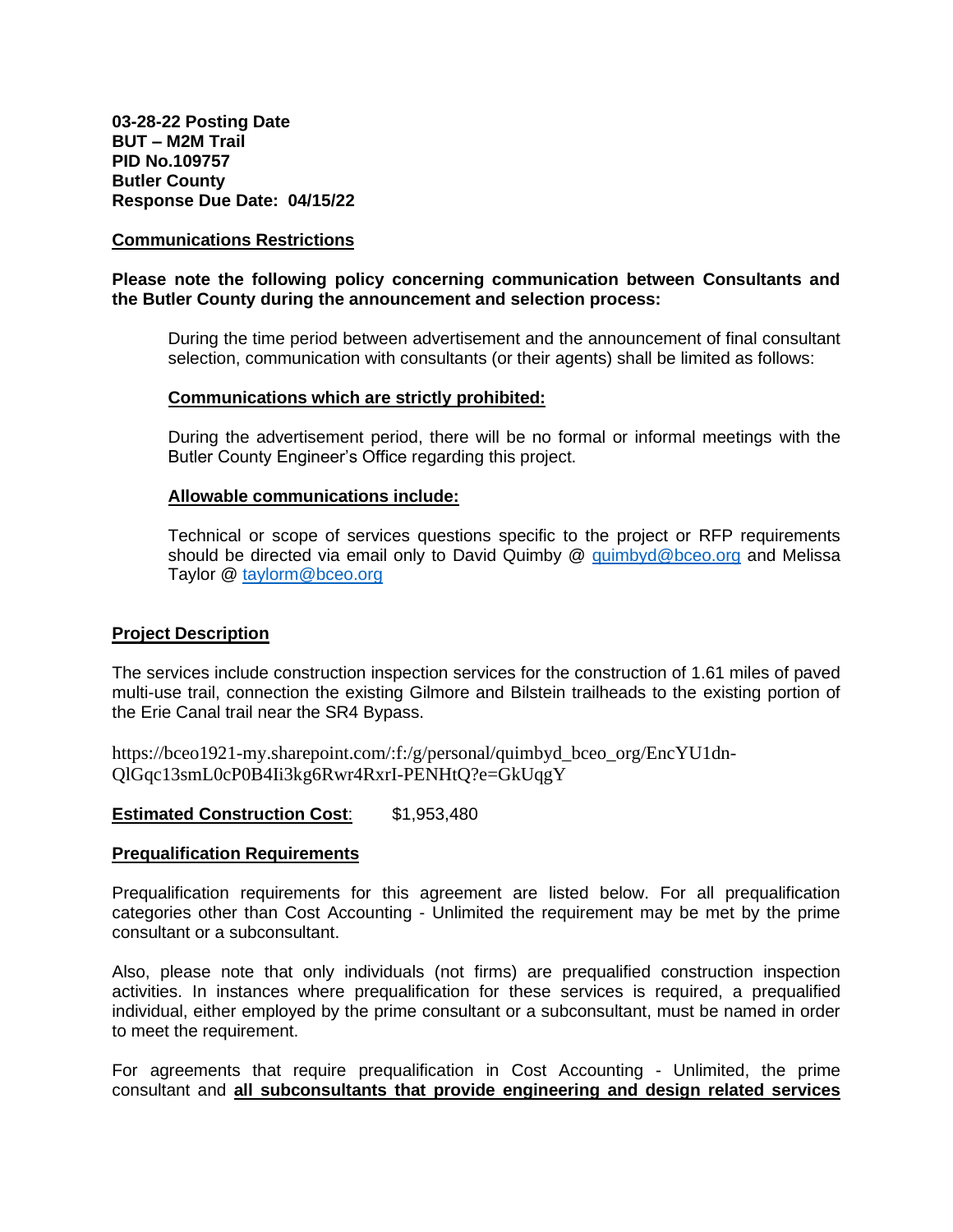#### **Communications Restrictions**

### **Please note the following policy concerning communication between Consultants and the Butler County during the announcement and selection process:**

During the time period between advertisement and the announcement of final consultant selection, communication with consultants (or their agents) shall be limited as follows:

#### **Communications which are strictly prohibited:**

During the advertisement period, there will be no formal or informal meetings with the Butler County Engineer's Office regarding this project.

#### **Allowable communications include:**

Technical or scope of services questions specific to the project or RFP requirements should be directed via email only to David Quimby @ [quimbyd@bceo.org](mailto:quimbyd@bceo.org) and Melissa Taylor @ [taylorm@bceo.org](mailto:taylorm@bceo.org)

### **Project Description**

The services include construction inspection services for the construction of 1.61 miles of paved multi-use trail, connection the existing Gilmore and Bilstein trailheads to the existing portion of the Erie Canal trail near the SR4 Bypass.

https://bceo1921-my.sharepoint.com/:f:/g/personal/quimbyd\_bceo\_org/EncYU1dn-QlGqc13smL0cP0B4Ii3kg6Rwr4RxrI-PENHtQ?e=GkUqgY

### **Estimated Construction Cost**: \$1,953,480

#### **Prequalification Requirements**

Prequalification requirements for this agreement are listed below. For all prequalification categories other than Cost Accounting - Unlimited the requirement may be met by the prime consultant or a subconsultant.

Also, please note that only individuals (not firms) are prequalified construction inspection activities. In instances where prequalification for these services is required, a prequalified individual, either employed by the prime consultant or a subconsultant, must be named in order to meet the requirement.

For agreements that require prequalification in Cost Accounting - Unlimited, the prime consultant and **all subconsultants that provide engineering and design related services**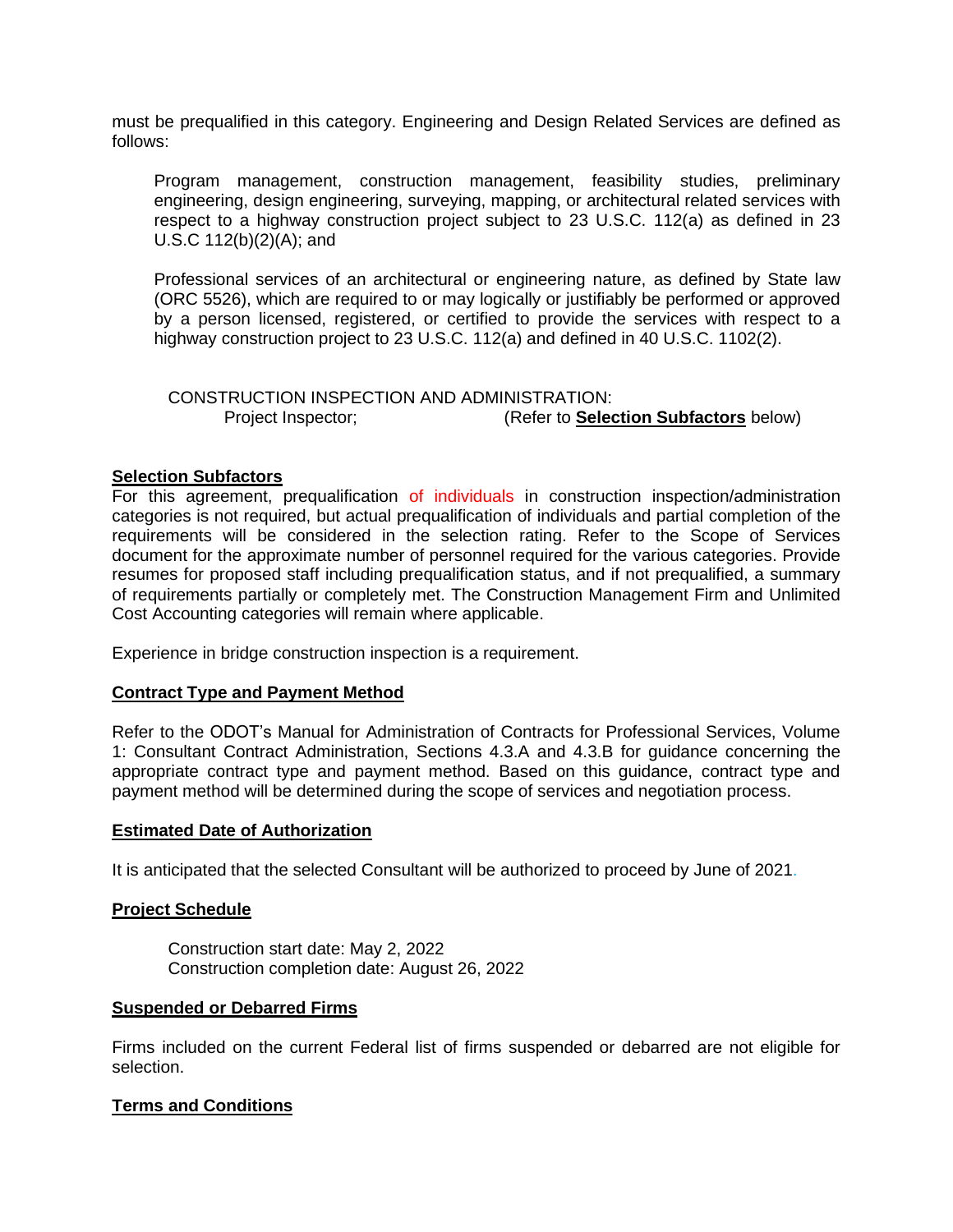must be prequalified in this category. Engineering and Design Related Services are defined as follows:

Program management, construction management, feasibility studies, preliminary engineering, design engineering, surveying, mapping, or architectural related services with respect to a highway construction project subject to 23 U.S.C. 112(a) as defined in 23 U.S.C 112(b)(2)(A); and

Professional services of an architectural or engineering nature, as defined by State law (ORC 5526), which are required to or may logically or justifiably be performed or approved by a person licensed, registered, or certified to provide the services with respect to a highway construction project to 23 U.S.C. 112(a) and defined in 40 U.S.C. 1102(2).

CONSTRUCTION INSPECTION AND ADMINISTRATION: Project Inspector; (Refer to **Selection Subfactors** below)

### **Selection Subfactors**

For this agreement, prequalification of individuals in construction inspection/administration categories is not required, but actual prequalification of individuals and partial completion of the requirements will be considered in the selection rating. Refer to the Scope of Services document for the approximate number of personnel required for the various categories. Provide resumes for proposed staff including prequalification status, and if not prequalified, a summary of requirements partially or completely met. The Construction Management Firm and Unlimited Cost Accounting categories will remain where applicable.

Experience in bridge construction inspection is a requirement.

### **Contract Type and Payment Method**

Refer to the ODOT's Manual for Administration of Contracts for Professional Services, Volume 1: Consultant Contract Administration, Sections 4.3.A and 4.3.B for guidance concerning the appropriate contract type and payment method. Based on this guidance, contract type and payment method will be determined during the scope of services and negotiation process.

#### **Estimated Date of Authorization**

It is anticipated that the selected Consultant will be authorized to proceed by June of 2021.

### **Project Schedule**

Construction start date: May 2, 2022 Construction completion date: August 26, 2022

#### **Suspended or Debarred Firms**

Firms included on the current Federal list of firms suspended or debarred are not eligible for selection.

### **Terms and Conditions**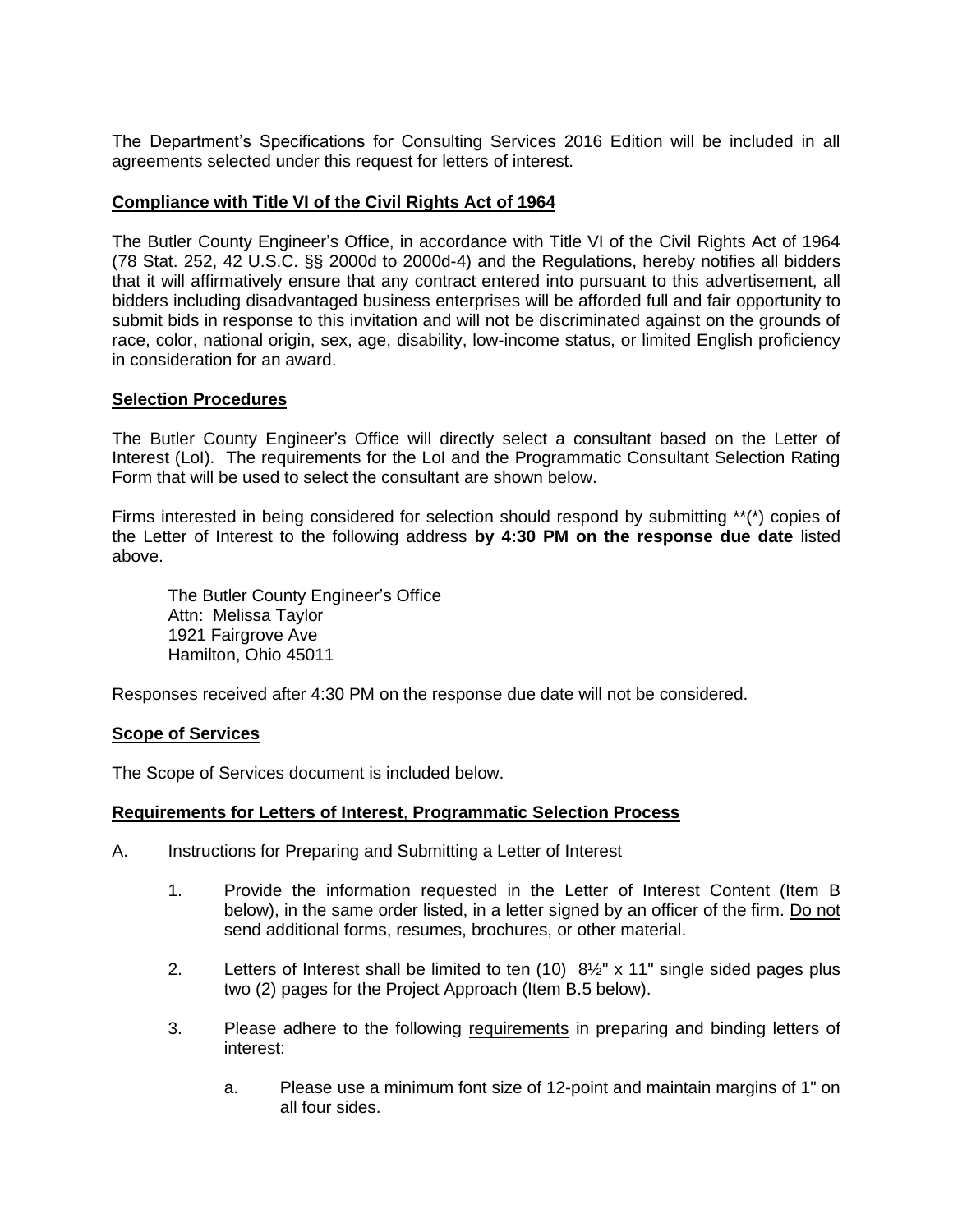The Department's Specifications for Consulting Services 2016 Edition will be included in all agreements selected under this request for letters of interest.

## **Compliance with Title VI of the Civil Rights Act of 1964**

The Butler County Engineer's Office, in accordance with Title VI of the Civil Rights Act of 1964 (78 Stat. 252, 42 U.S.C. §§ 2000d to 2000d-4) and the Regulations, hereby notifies all bidders that it will affirmatively ensure that any contract entered into pursuant to this advertisement, all bidders including disadvantaged business enterprises will be afforded full and fair opportunity to submit bids in response to this invitation and will not be discriminated against on the grounds of race, color, national origin, sex, age, disability, low-income status, or limited English proficiency in consideration for an award.

### **Selection Procedures**

The Butler County Engineer's Office will directly select a consultant based on the Letter of Interest (LoI). The requirements for the LoI and the Programmatic Consultant Selection Rating Form that will be used to select the consultant are shown below.

Firms interested in being considered for selection should respond by submitting \*\*(\*) copies of the Letter of Interest to the following address **by 4:30 PM on the response due date** listed above.

The Butler County Engineer's Office Attn: Melissa Taylor 1921 Fairgrove Ave Hamilton, Ohio 45011

Responses received after 4:30 PM on the response due date will not be considered.

### **Scope of Services**

The Scope of Services document is included below.

### **Requirements for Letters of Interest**, **Programmatic Selection Process**

- A. Instructions for Preparing and Submitting a Letter of Interest
	- 1. Provide the information requested in the Letter of Interest Content (Item B below), in the same order listed, in a letter signed by an officer of the firm. Do not send additional forms, resumes, brochures, or other material.
	- 2. Letters of Interest shall be limited to ten  $(10)$   $8\frac{1}{2}$ " x 11" single sided pages plus two (2) pages for the Project Approach (Item B.5 below).
	- 3. Please adhere to the following requirements in preparing and binding letters of interest:
		- a. Please use a minimum font size of 12-point and maintain margins of 1" on all four sides.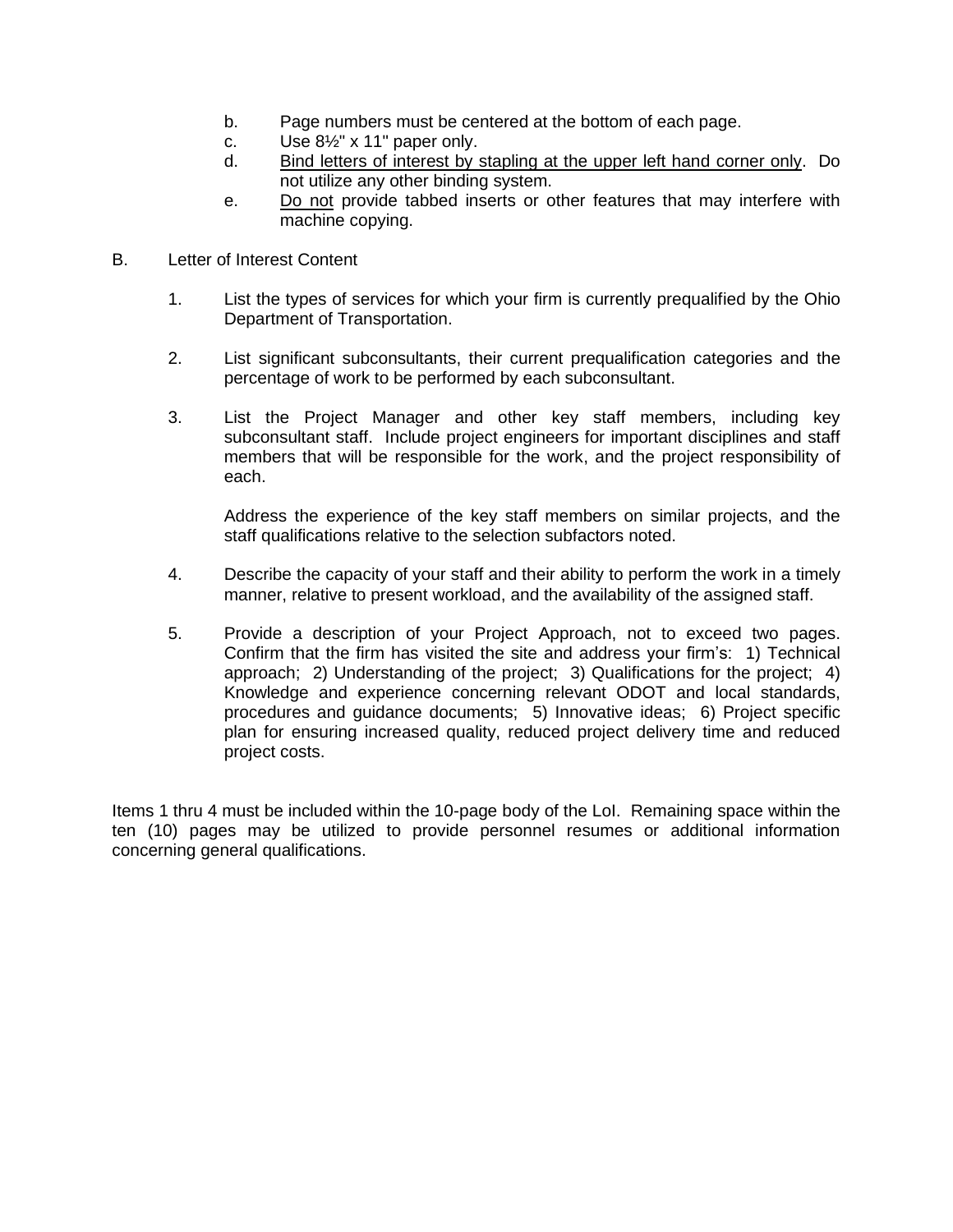- b. Page numbers must be centered at the bottom of each page.
- c. Use  $8\frac{1}{2}$ " x 11" paper only.
- d. Bind letters of interest by stapling at the upper left hand corner only. Do not utilize any other binding system.
- e. Do not provide tabbed inserts or other features that may interfere with machine copying.
- B. Letter of Interest Content
	- 1. List the types of services for which your firm is currently prequalified by the Ohio Department of Transportation.
	- 2. List significant subconsultants, their current prequalification categories and the percentage of work to be performed by each subconsultant.
	- 3. List the Project Manager and other key staff members, including key subconsultant staff. Include project engineers for important disciplines and staff members that will be responsible for the work, and the project responsibility of each.

Address the experience of the key staff members on similar projects, and the staff qualifications relative to the selection subfactors noted.

- 4. Describe the capacity of your staff and their ability to perform the work in a timely manner, relative to present workload, and the availability of the assigned staff.
- 5. Provide a description of your Project Approach, not to exceed two pages. Confirm that the firm has visited the site and address your firm's: 1) Technical approach; 2) Understanding of the project; 3) Qualifications for the project; 4) Knowledge and experience concerning relevant ODOT and local standards, procedures and guidance documents; 5) Innovative ideas; 6) Project specific plan for ensuring increased quality, reduced project delivery time and reduced project costs.

Items 1 thru 4 must be included within the 10-page body of the LoI. Remaining space within the ten (10) pages may be utilized to provide personnel resumes or additional information concerning general qualifications.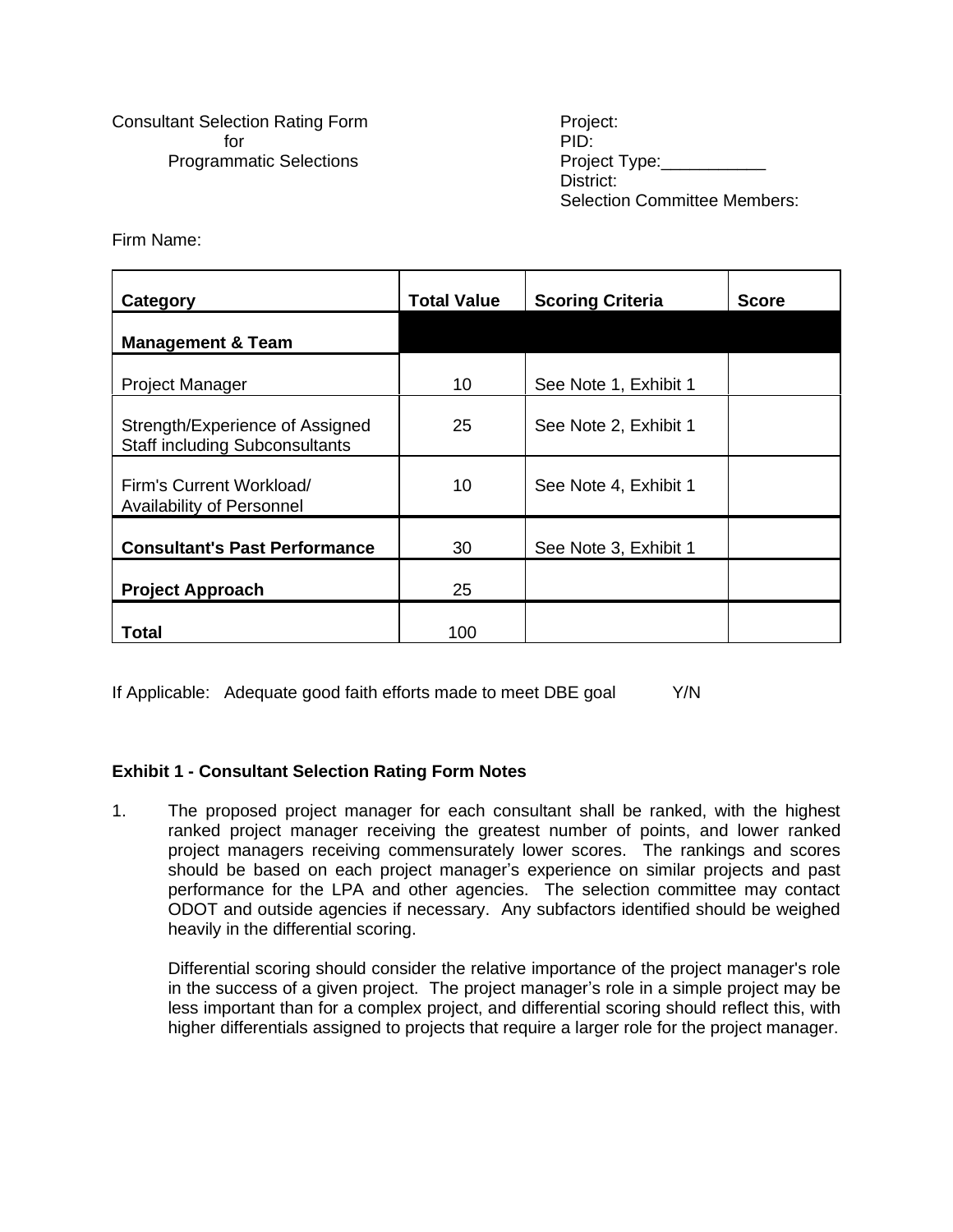Consultant Selection Rating Form **Project:** for **PID:** Programmatic Selections extending the Project Type:

District: Selection Committee Members:

Firm Name:

| Category                                                                 | <b>Total Value</b> | <b>Scoring Criteria</b> | <b>Score</b> |
|--------------------------------------------------------------------------|--------------------|-------------------------|--------------|
| <b>Management &amp; Team</b>                                             |                    |                         |              |
| <b>Project Manager</b>                                                   | 10                 | See Note 1, Exhibit 1   |              |
| Strength/Experience of Assigned<br><b>Staff including Subconsultants</b> | 25                 | See Note 2, Exhibit 1   |              |
| Firm's Current Workload/<br><b>Availability of Personnel</b>             | 10                 | See Note 4, Exhibit 1   |              |
| <b>Consultant's Past Performance</b>                                     | 30                 | See Note 3, Exhibit 1   |              |
| <b>Project Approach</b>                                                  | 25                 |                         |              |
| Total                                                                    | 100                |                         |              |

If Applicable: Adequate good faith efforts made to meet DBE goal Y/N

## **Exhibit 1 - Consultant Selection Rating Form Notes**

1. The proposed project manager for each consultant shall be ranked, with the highest ranked project manager receiving the greatest number of points, and lower ranked project managers receiving commensurately lower scores. The rankings and scores should be based on each project manager's experience on similar projects and past performance for the LPA and other agencies. The selection committee may contact ODOT and outside agencies if necessary. Any subfactors identified should be weighed heavily in the differential scoring.

Differential scoring should consider the relative importance of the project manager's role in the success of a given project. The project manager's role in a simple project may be less important than for a complex project, and differential scoring should reflect this, with higher differentials assigned to projects that require a larger role for the project manager.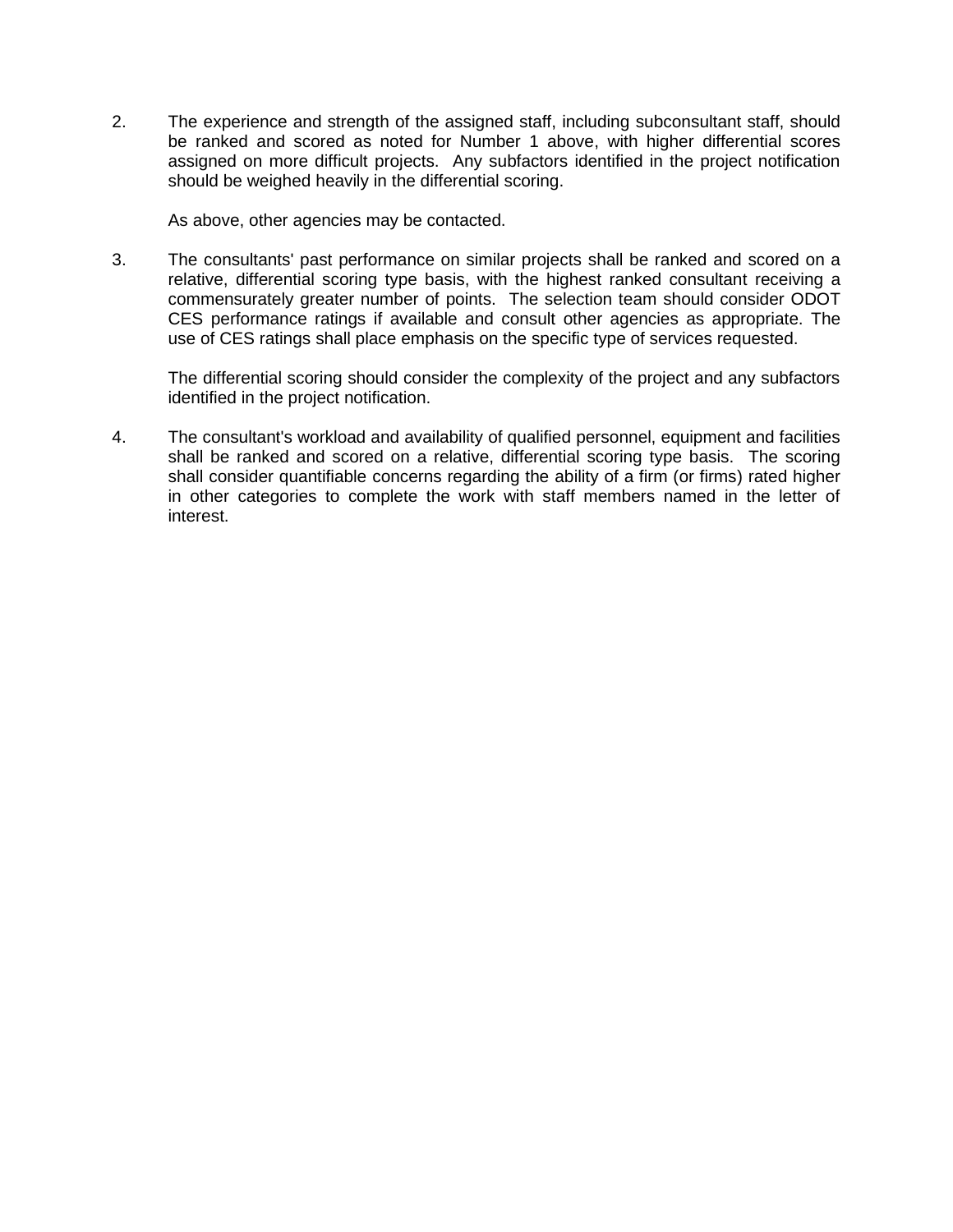2. The experience and strength of the assigned staff, including subconsultant staff, should be ranked and scored as noted for Number 1 above, with higher differential scores assigned on more difficult projects. Any subfactors identified in the project notification should be weighed heavily in the differential scoring.

As above, other agencies may be contacted.

3. The consultants' past performance on similar projects shall be ranked and scored on a relative, differential scoring type basis, with the highest ranked consultant receiving a commensurately greater number of points. The selection team should consider ODOT CES performance ratings if available and consult other agencies as appropriate. The use of CES ratings shall place emphasis on the specific type of services requested.

The differential scoring should consider the complexity of the project and any subfactors identified in the project notification.

4. The consultant's workload and availability of qualified personnel, equipment and facilities shall be ranked and scored on a relative, differential scoring type basis. The scoring shall consider quantifiable concerns regarding the ability of a firm (or firms) rated higher in other categories to complete the work with staff members named in the letter of interest.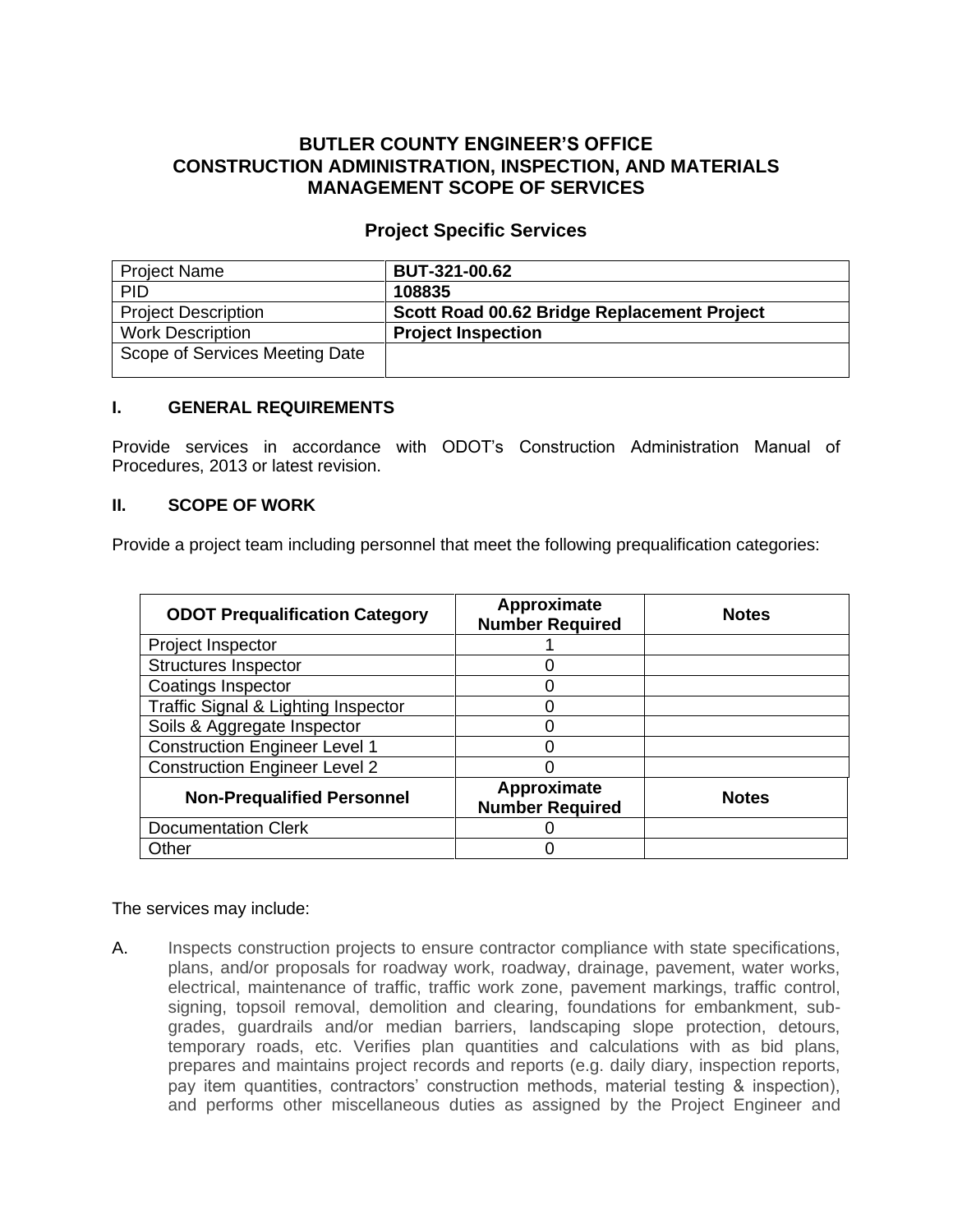# **BUTLER COUNTY ENGINEER'S OFFICE CONSTRUCTION ADMINISTRATION, INSPECTION, AND MATERIALS MANAGEMENT SCOPE OF SERVICES**

## **Project Specific Services**

| <b>Project Name</b>            | <b>BUT-321-00.62</b>                        |
|--------------------------------|---------------------------------------------|
| <b>PID</b>                     | 108835                                      |
| <b>Project Description</b>     | Scott Road 00.62 Bridge Replacement Project |
| <b>Work Description</b>        | <b>Project Inspection</b>                   |
| Scope of Services Meeting Date |                                             |

## **I. GENERAL REQUIREMENTS**

Provide services in accordance with ODOT's Construction Administration Manual of Procedures, 2013 or latest revision.

## **II. SCOPE OF WORK**

Provide a project team including personnel that meet the following prequalification categories:

| <b>ODOT Prequalification Category</b> | Approximate<br><b>Number Required</b> | <b>Notes</b> |
|---------------------------------------|---------------------------------------|--------------|
| Project Inspector                     |                                       |              |
| <b>Structures Inspector</b>           |                                       |              |
| <b>Coatings Inspector</b>             |                                       |              |
| Traffic Signal & Lighting Inspector   |                                       |              |
| Soils & Aggregate Inspector           |                                       |              |
| <b>Construction Engineer Level 1</b>  |                                       |              |
| <b>Construction Engineer Level 2</b>  |                                       |              |
| <b>Non-Prequalified Personnel</b>     | Approximate<br><b>Number Required</b> | <b>Notes</b> |
| <b>Documentation Clerk</b>            |                                       |              |
| Other                                 |                                       |              |

### The services may include:

A. Inspects construction projects to ensure contractor compliance with state specifications, plans, and/or proposals for roadway work, roadway, drainage, pavement, water works, electrical, maintenance of traffic, traffic work zone, pavement markings, traffic control, signing, topsoil removal, demolition and clearing, foundations for embankment, subgrades, guardrails and/or median barriers, landscaping slope protection, detours, temporary roads, etc. Verifies plan quantities and calculations with as bid plans, prepares and maintains project records and reports (e.g. daily diary, inspection reports, pay item quantities, contractors' construction methods, material testing & inspection), and performs other miscellaneous duties as assigned by the Project Engineer and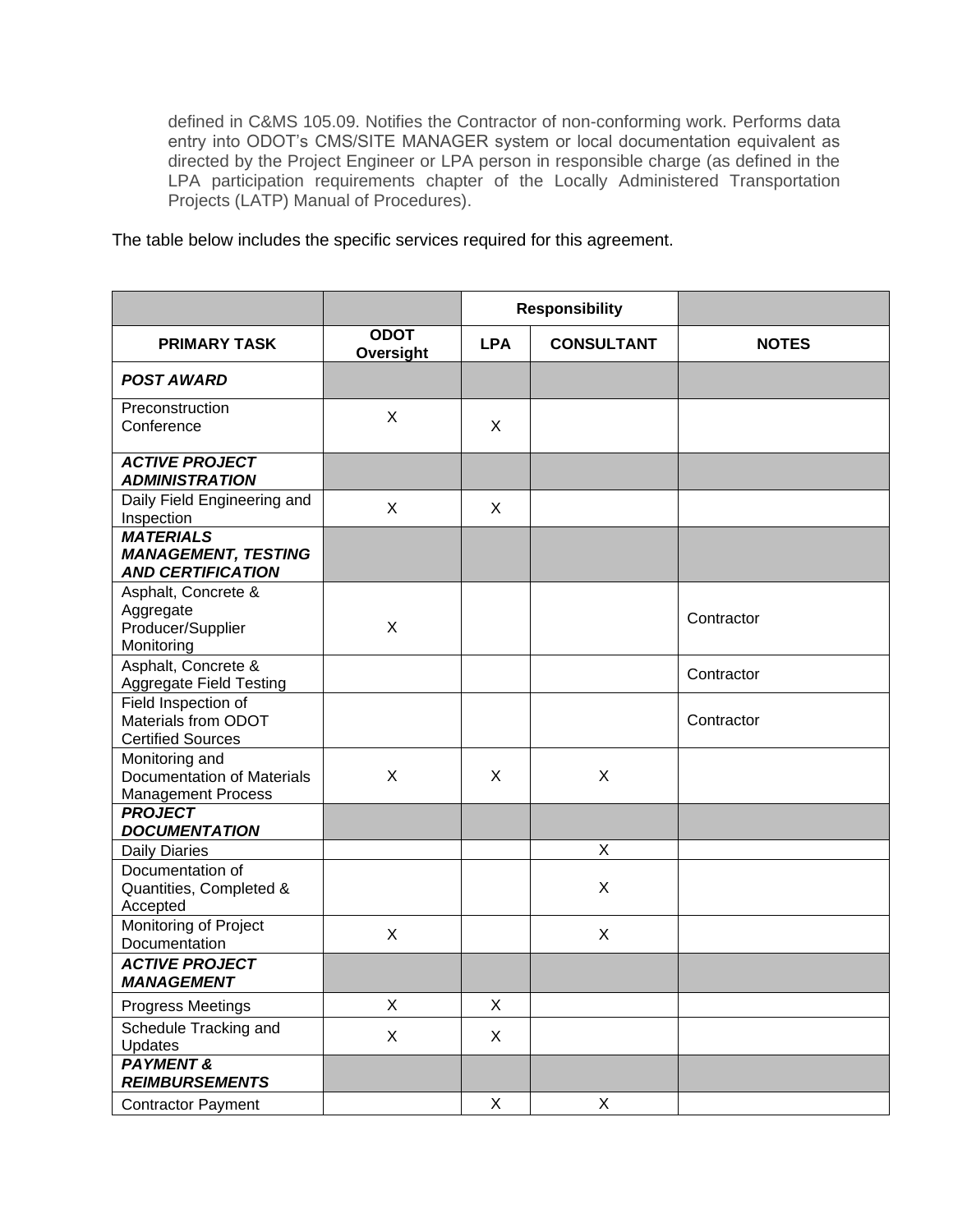defined in C&MS 105.09. Notifies the Contractor of non-conforming work. Performs data entry into ODOT's CMS/SITE MANAGER system or local documentation equivalent as directed by the Project Engineer or LPA person in responsible charge (as defined in the LPA participation requirements chapter of the Locally Administered Transportation Projects (LATP) Manual of Procedures).

The table below includes the specific services required for this agreement.

|                                                                                  |                           | <b>Responsibility</b>           |   | <b>NOTES</b> |
|----------------------------------------------------------------------------------|---------------------------|---------------------------------|---|--------------|
| <b>PRIMARY TASK</b>                                                              | <b>ODOT</b><br>Oversight  | <b>LPA</b><br><b>CONSULTANT</b> |   |              |
| <b>POST AWARD</b>                                                                |                           |                                 |   |              |
| Preconstruction<br>Conference                                                    | X                         | X                               |   |              |
| <b>ACTIVE PROJECT</b><br><b>ADMINISTRATION</b>                                   |                           |                                 |   |              |
| Daily Field Engineering and<br>Inspection                                        | $\mathsf{X}$              | X                               |   |              |
| <b>MATERIALS</b><br><b>MANAGEMENT, TESTING</b><br><b>AND CERTIFICATION</b>       |                           |                                 |   |              |
| Asphalt, Concrete &<br>Aggregate<br>Producer/Supplier<br>Monitoring              | $\mathsf X$               |                                 |   | Contractor   |
| Asphalt, Concrete &<br><b>Aggregate Field Testing</b>                            |                           |                                 |   | Contractor   |
| Field Inspection of<br>Materials from ODOT<br><b>Certified Sources</b>           |                           |                                 |   | Contractor   |
| Monitoring and<br><b>Documentation of Materials</b><br><b>Management Process</b> | X                         | X                               | X |              |
| <b>PROJECT</b><br><b>DOCUMENTATION</b>                                           |                           |                                 |   |              |
| <b>Daily Diaries</b>                                                             |                           |                                 | X |              |
| Documentation of<br>Quantities, Completed &<br>Accepted                          |                           |                                 | X |              |
| Monitoring of Project<br>Documentation                                           | X                         |                                 | X |              |
| <b>ACTIVE PROJECT</b><br><b>MANAGEMENT</b>                                       |                           |                                 |   |              |
| Progress Meetings                                                                | X                         | X                               |   |              |
| Schedule Tracking and<br>Updates                                                 | $\boldsymbol{\mathsf{X}}$ | X                               |   |              |
| <b>PAYMENT &amp;</b><br><b>REIMBURSEMENTS</b>                                    |                           |                                 |   |              |
| <b>Contractor Payment</b>                                                        |                           | $\mathsf X$                     | X |              |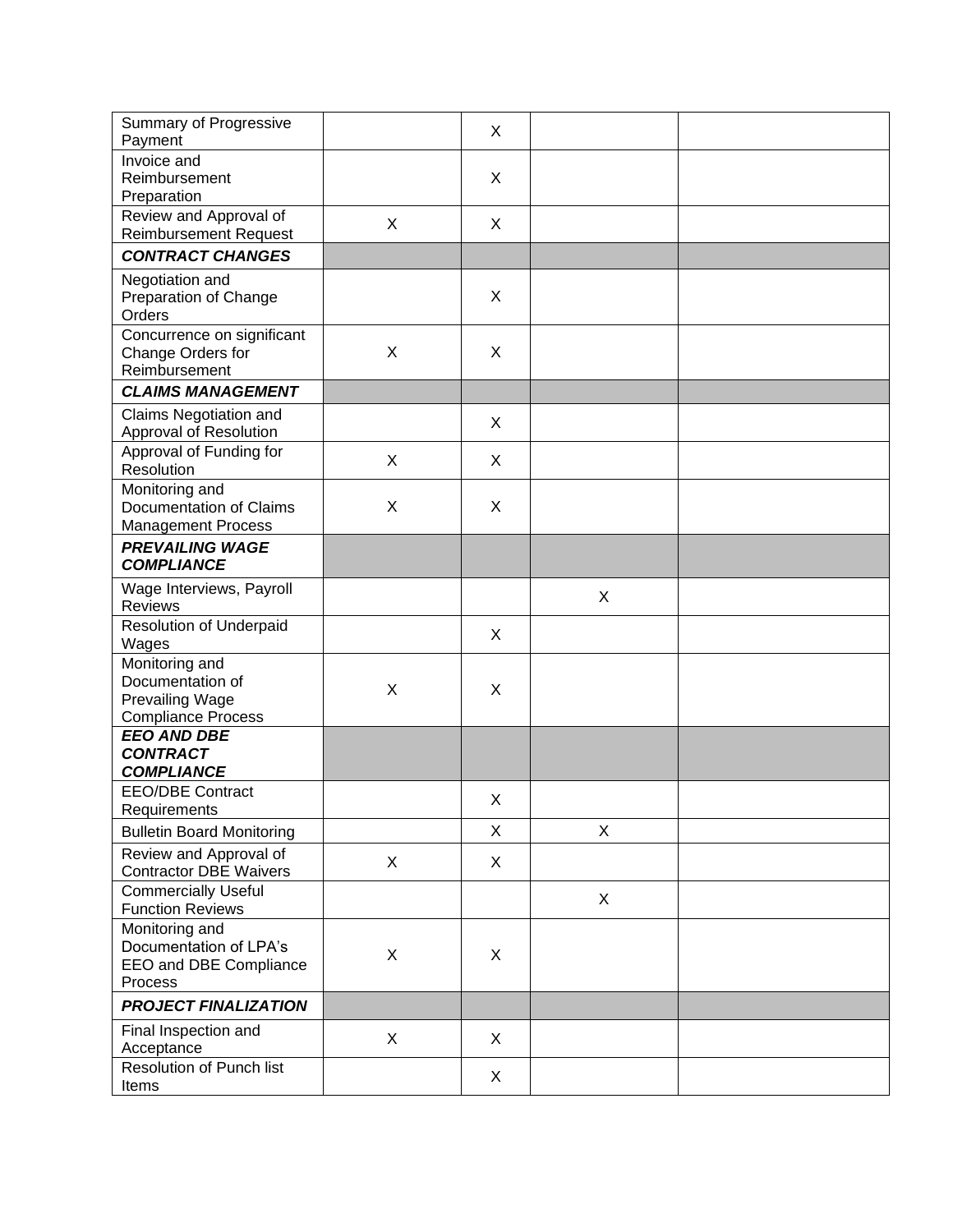| Summary of Progressive<br>Payment                                                         |   | X |   |  |
|-------------------------------------------------------------------------------------------|---|---|---|--|
| Invoice and<br>Reimbursement<br>Preparation                                               |   | X |   |  |
| Review and Approval of<br><b>Reimbursement Request</b>                                    | X | X |   |  |
| <b>CONTRACT CHANGES</b>                                                                   |   |   |   |  |
| Negotiation and<br>Preparation of Change<br>Orders                                        |   | X |   |  |
| Concurrence on significant<br>Change Orders for<br>Reimbursement                          | X | X |   |  |
| <b>CLAIMS MANAGEMENT</b>                                                                  |   |   |   |  |
| Claims Negotiation and<br>Approval of Resolution                                          |   | X |   |  |
| Approval of Funding for<br>Resolution                                                     | X | X |   |  |
| Monitoring and<br>Documentation of Claims<br><b>Management Process</b>                    | X | X |   |  |
| <b>PREVAILING WAGE</b><br><b>COMPLIANCE</b>                                               |   |   |   |  |
| Wage Interviews, Payroll<br>Reviews                                                       |   |   | X |  |
| <b>Resolution of Underpaid</b><br>Wages                                                   |   | X |   |  |
| Monitoring and<br>Documentation of<br><b>Prevailing Wage</b><br><b>Compliance Process</b> | X | X |   |  |
| <b>EEO AND DBE</b><br><b>CONTRACT</b><br><b>COMPLIANCE</b>                                |   |   |   |  |
| <b>EEO/DBE Contract</b><br>Requirements                                                   |   | X |   |  |
| <b>Bulletin Board Monitoring</b>                                                          |   | X | X |  |
| Review and Approval of<br><b>Contractor DBE Waivers</b>                                   | X | X |   |  |
| <b>Commercially Useful</b><br><b>Function Reviews</b>                                     |   |   | X |  |
| Monitoring and<br>Documentation of LPA's<br>EEO and DBE Compliance<br>Process             | X | X |   |  |
| <b>PROJECT FINALIZATION</b>                                                               |   |   |   |  |
| Final Inspection and<br>Acceptance                                                        | X | X |   |  |
| Resolution of Punch list<br>Items                                                         |   | X |   |  |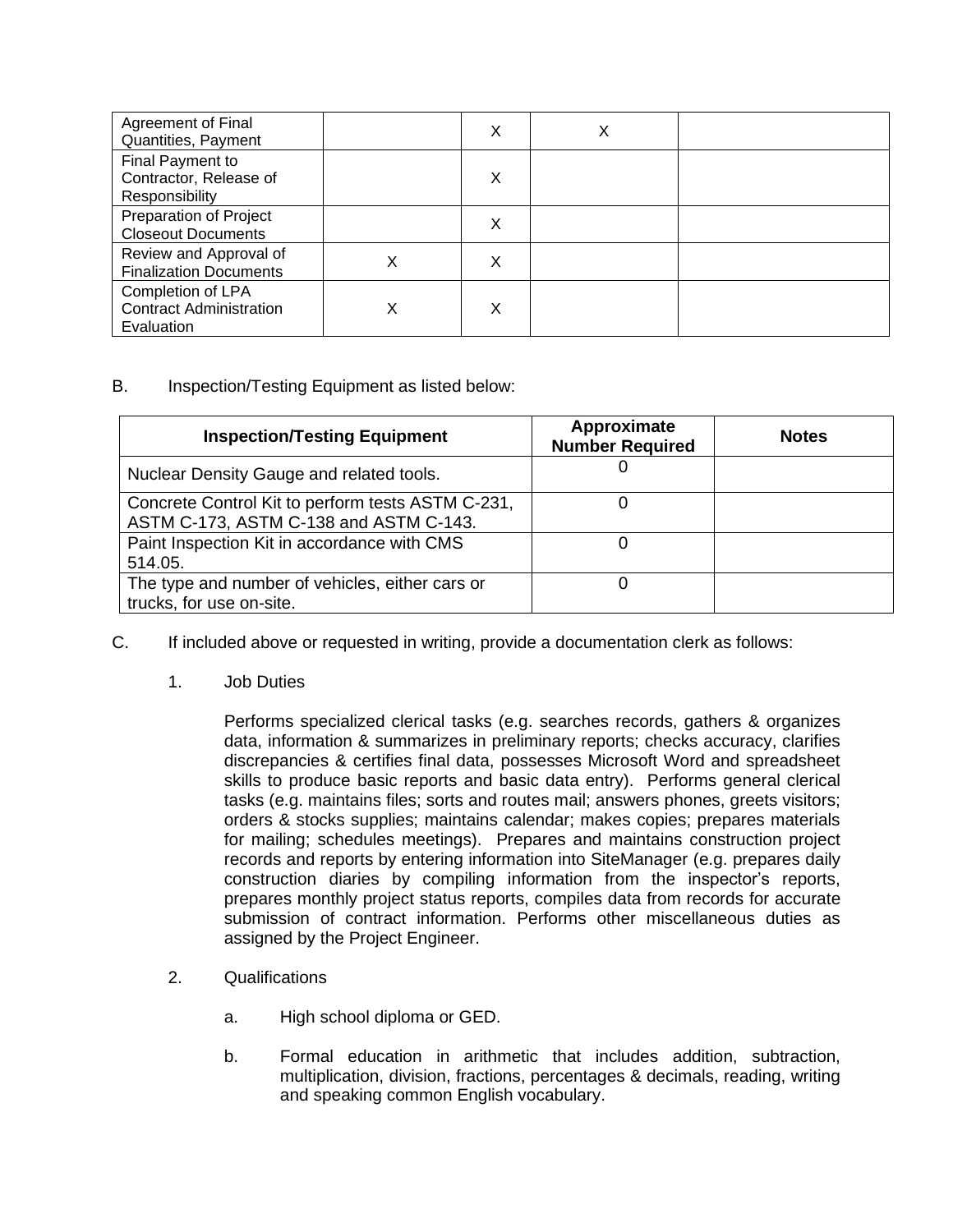| <b>Agreement of Final</b><br>Quantities, Payment                  |   | X | X |  |
|-------------------------------------------------------------------|---|---|---|--|
| Final Payment to<br>Contractor, Release of<br>Responsibility      |   | X |   |  |
| Preparation of Project<br><b>Closeout Documents</b>               |   | X |   |  |
| Review and Approval of<br><b>Finalization Documents</b>           | X | х |   |  |
| Completion of LPA<br><b>Contract Administration</b><br>Evaluation | X | X |   |  |

# B. Inspection/Testing Equipment as listed below:

| <b>Inspection/Testing Equipment</b>                                                         | Approximate<br><b>Number Required</b> | <b>Notes</b> |
|---------------------------------------------------------------------------------------------|---------------------------------------|--------------|
| Nuclear Density Gauge and related tools.                                                    |                                       |              |
| Concrete Control Kit to perform tests ASTM C-231,<br>ASTM C-173, ASTM C-138 and ASTM C-143. |                                       |              |
| Paint Inspection Kit in accordance with CMS<br>514.05.                                      |                                       |              |
| The type and number of vehicles, either cars or<br>trucks, for use on-site.                 |                                       |              |

- C. If included above or requested in writing, provide a documentation clerk as follows:
	- 1. Job Duties

Performs specialized clerical tasks (e.g. searches records, gathers & organizes data, information & summarizes in preliminary reports; checks accuracy, clarifies discrepancies & certifies final data, possesses Microsoft Word and spreadsheet skills to produce basic reports and basic data entry). Performs general clerical tasks (e.g. maintains files; sorts and routes mail; answers phones, greets visitors; orders & stocks supplies; maintains calendar; makes copies; prepares materials for mailing; schedules meetings). Prepares and maintains construction project records and reports by entering information into SiteManager (e.g. prepares daily construction diaries by compiling information from the inspector's reports, prepares monthly project status reports, compiles data from records for accurate submission of contract information. Performs other miscellaneous duties as assigned by the Project Engineer.

- 2. Qualifications
	- a. High school diploma or GED.
	- b. Formal education in arithmetic that includes addition, subtraction, multiplication, division, fractions, percentages & decimals, reading, writing and speaking common English vocabulary.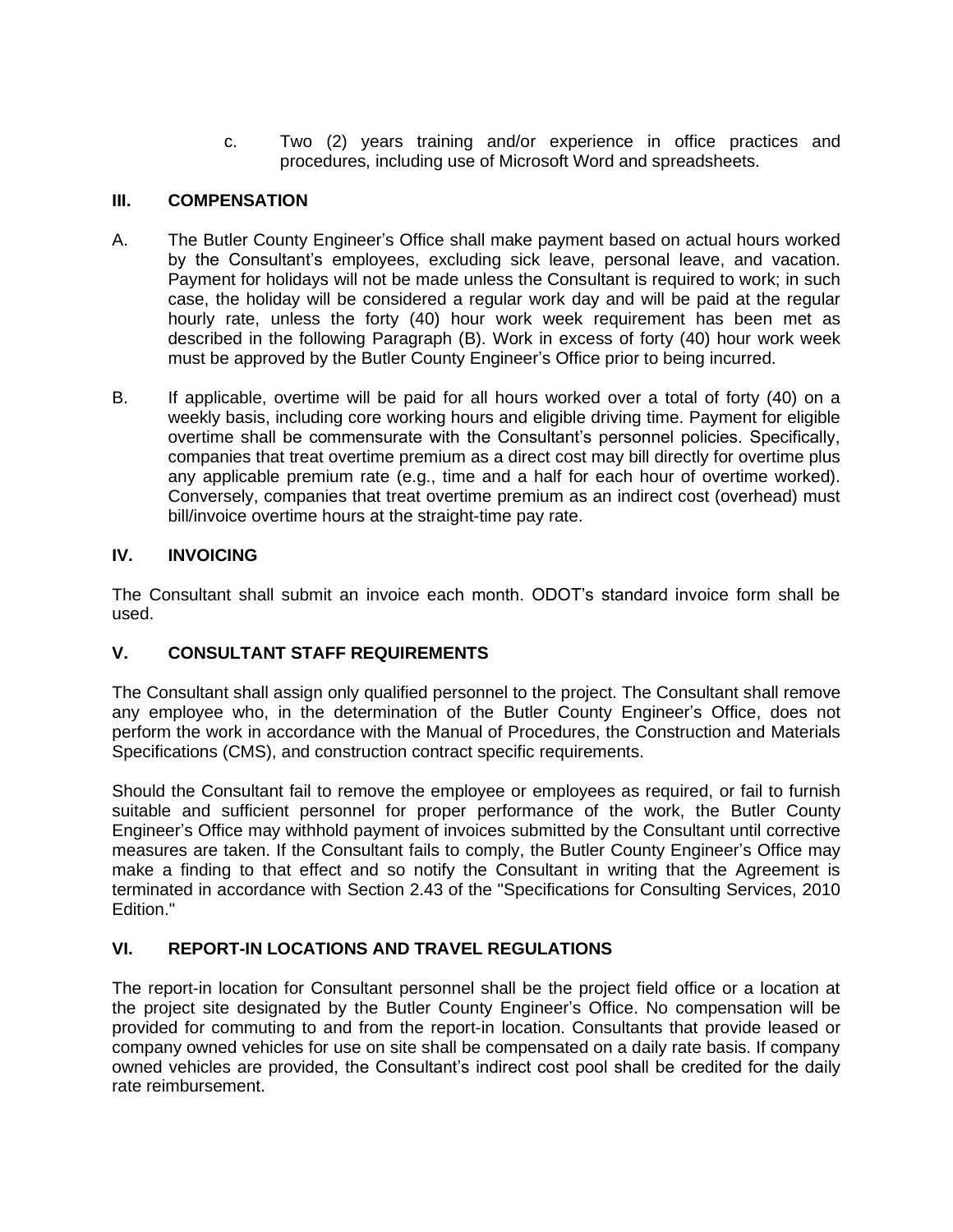c. Two (2) years training and/or experience in office practices and procedures, including use of Microsoft Word and spreadsheets.

# **III. COMPENSATION**

- A. The Butler County Engineer's Office shall make payment based on actual hours worked by the Consultant's employees, excluding sick leave, personal leave, and vacation. Payment for holidays will not be made unless the Consultant is required to work; in such case, the holiday will be considered a regular work day and will be paid at the regular hourly rate, unless the forty (40) hour work week requirement has been met as described in the following Paragraph (B). Work in excess of forty (40) hour work week must be approved by the Butler County Engineer's Office prior to being incurred.
- B. If applicable, overtime will be paid for all hours worked over a total of forty (40) on a weekly basis, including core working hours and eligible driving time. Payment for eligible overtime shall be commensurate with the Consultant's personnel policies. Specifically, companies that treat overtime premium as a direct cost may bill directly for overtime plus any applicable premium rate (e.g., time and a half for each hour of overtime worked). Conversely, companies that treat overtime premium as an indirect cost (overhead) must bill/invoice overtime hours at the straight-time pay rate.

# **IV. INVOICING**

The Consultant shall submit an invoice each month. ODOT's standard invoice form shall be used.

# **V. CONSULTANT STAFF REQUIREMENTS**

The Consultant shall assign only qualified personnel to the project. The Consultant shall remove any employee who, in the determination of the Butler County Engineer's Office, does not perform the work in accordance with the Manual of Procedures, the Construction and Materials Specifications (CMS), and construction contract specific requirements.

Should the Consultant fail to remove the employee or employees as required, or fail to furnish suitable and sufficient personnel for proper performance of the work, the Butler County Engineer's Office may withhold payment of invoices submitted by the Consultant until corrective measures are taken. If the Consultant fails to comply, the Butler County Engineer's Office may make a finding to that effect and so notify the Consultant in writing that the Agreement is terminated in accordance with Section 2.43 of the "Specifications for Consulting Services, 2010 Edition."

# **VI. REPORT-IN LOCATIONS AND TRAVEL REGULATIONS**

The report-in location for Consultant personnel shall be the project field office or a location at the project site designated by the Butler County Engineer's Office. No compensation will be provided for commuting to and from the report-in location. Consultants that provide leased or company owned vehicles for use on site shall be compensated on a daily rate basis. If company owned vehicles are provided, the Consultant's indirect cost pool shall be credited for the daily rate reimbursement.